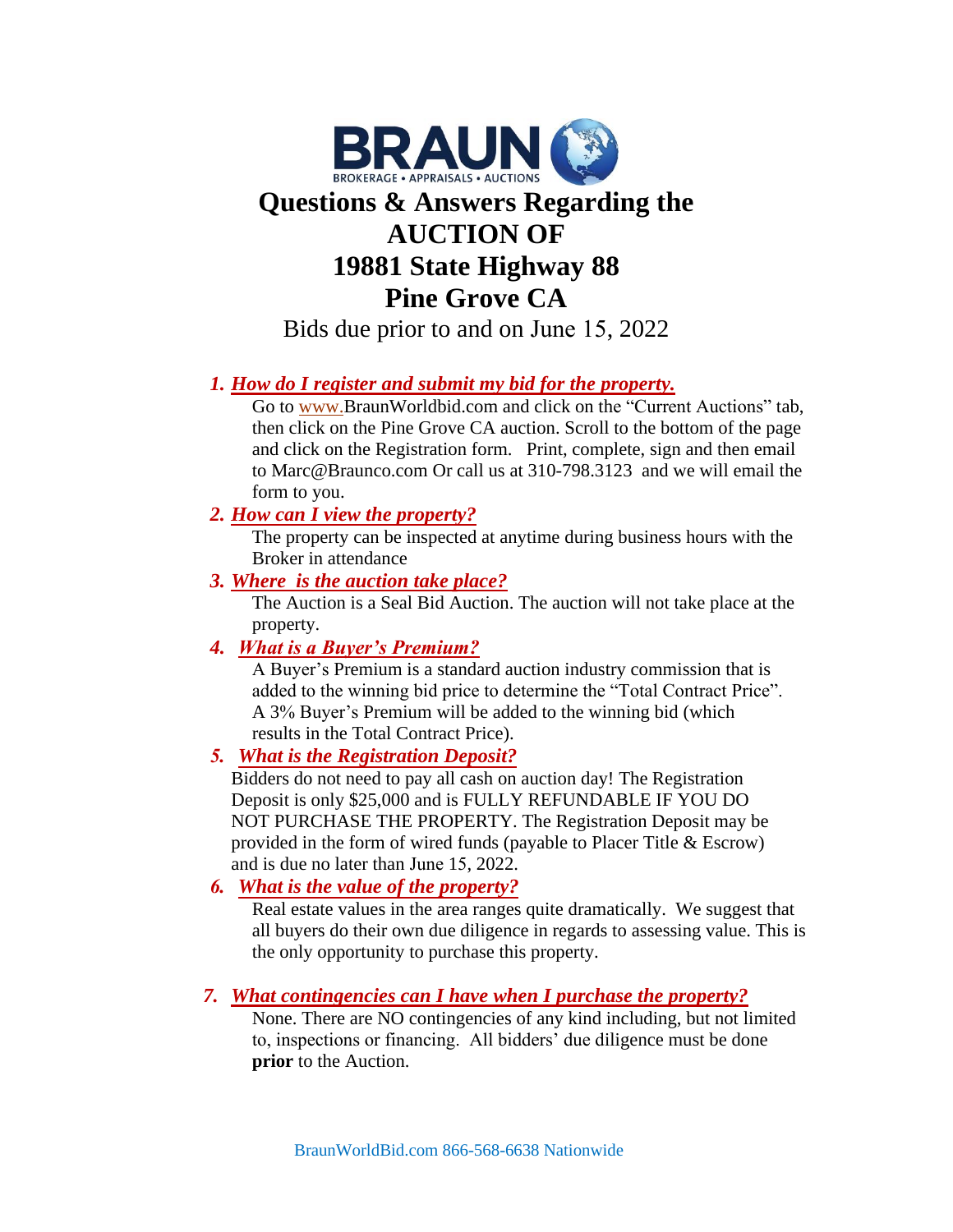

# **Questions & Answers Regarding the AUCTION OF 19881 State Highway 88 Pine Grove CA**

Bids due prior to and on June 15, 2022

## *1. How do I register and submit my bid for the property.*

Go to [www.B](http://www.premiereestates.com/)raunWorldbid.com and click on the "Current Auctions" tab, then click on the Pine Grove CA auction. Scroll to the bottom of the page and click on the Registration form. Print, complete, sign and then email to Marc@Braunco.com Or call us at 310-798.3123 and we will email the form to you.

#### *2. How can I view the property?*

The property can be inspected at anytime during business hours with the Broker in attendance

#### *3. Where is the auction take place?*

The Auction is a Seal Bid Auction. The auction will not take place at the property.

## *4. What is a Buyer's Premium?*

A Buyer's Premium is a standard auction industry commission that is added to the winning bid price to determine the "Total Contract Price". A 3% Buyer's Premium will be added to the winning bid (which results in the Total Contract Price).

#### *5. What is the Registration Deposit?*

Bidders do not need to pay all cash on auction day! The Registration Deposit is only \$25,000 and is FULLY REFUNDABLE IF YOU DO NOT PURCHASE THE PROPERTY. The Registration Deposit may be provided in the form of wired funds (payable to Placer Title & Escrow) and is due no later than June 15, 2022.

## *6. What is the value of the property?*

Real estate values in the area ranges quite dramatically. We suggest that all buyers do their own due diligence in regards to assessing value. This is the only opportunity to purchase this property.

## *7. What contingencies can I have when I purchase the property?*

None. There are NO contingencies of any kind including, but not limited to, inspections or financing. All bidders' due diligence must be done **prior** to the Auction.